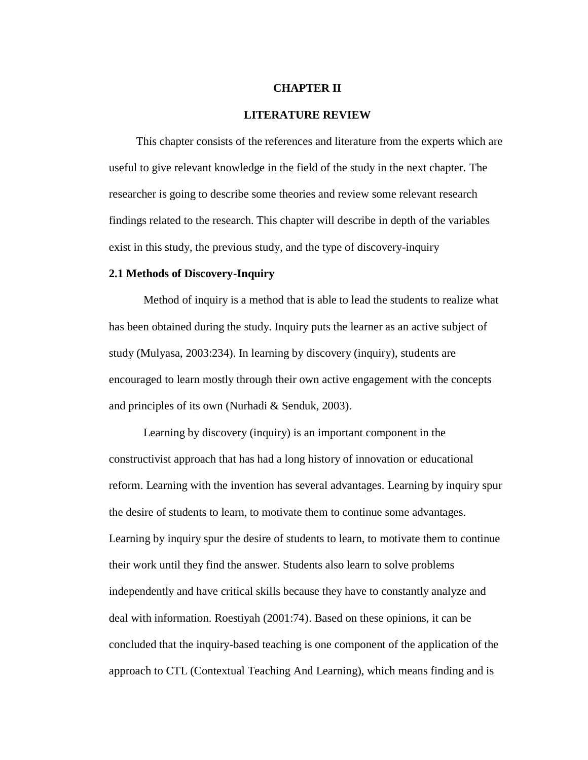### **CHAPTER II**

### **LITERATURE REVIEW**

This chapter consists of the references and literature from the experts which are useful to give relevant knowledge in the field of the study in the next chapter. The researcher is going to describe some theories and review some relevant research findings related to the research. This chapter will describe in depth of the variables exist in this study, the previous study, and the type of discovery-inquiry

# **2.1 Methods of Discovery-Inquiry**

Method of inquiry is a method that is able to lead the students to realize what has been obtained during the study. Inquiry puts the learner as an active subject of study (Mulyasa, 2003:234). In learning by discovery (inquiry), students are encouraged to learn mostly through their own active engagement with the concepts and principles of its own (Nurhadi & Senduk, 2003).

Learning by discovery (inquiry) is an important component in the constructivist approach that has had a long history of innovation or educational reform. Learning with the invention has several advantages. Learning by inquiry spur the desire of students to learn, to motivate them to continue some advantages. Learning by inquiry spur the desire of students to learn, to motivate them to continue their work until they find the answer. Students also learn to solve problems independently and have critical skills because they have to constantly analyze and deal with information. Roestiyah (2001:74). Based on these opinions, it can be concluded that the inquiry-based teaching is one component of the application of the approach to CTL (Contextual Teaching And Learning), which means finding and is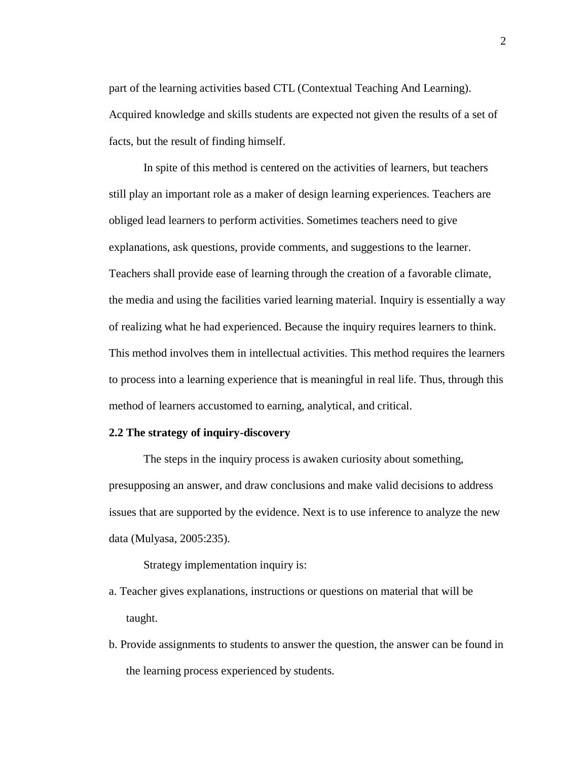part of the learning activities based CTL (Contextual Teaching And Learning). Acquired knowledge and skills students are expected not given the results of a set of facts, but the result of finding himself.

In spite of this method is centered on the activities of learners, but teachers still play an important role as a maker of design learning experiences. Teachers are obliged lead learners to perform activities. Sometimes teachers need to give explanations, ask questions, provide comments, and suggestions to the learner. Teachers shall provide ease of learning through the creation of a favorable climate, the media and using the facilities varied learning material. Inquiry is essentially a way of realizing what he had experienced. Because the inquiry requires learners to think. This method involves them in intellectual activities. This method requires the learners to process into a learning experience that is meaningful in real life. Thus, through this method of learners accustomed to earning, analytical, and critical.

# **2.2 The strategy of inquiry-discovery**

The steps in the inquiry process is awaken curiosity about something, presupposing an answer, and draw conclusions and make valid decisions to address issues that are supported by the evidence. Next is to use inference to analyze the new data (Mulyasa, 2005:235).

Strategy implementation inquiry is:

- a. Teacher gives explanations, instructions or questions on material that will be taught.
- b. Provide assignments to students to answer the question, the answer can be found in the learning process experienced by students.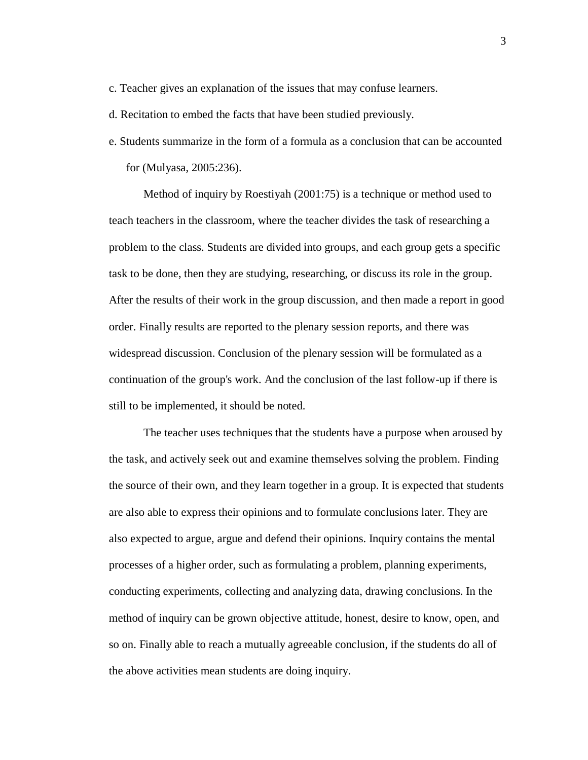- c. Teacher gives an explanation of the issues that may confuse learners.
- d. Recitation to embed the facts that have been studied previously.
- e. Students summarize in the form of a formula as a conclusion that can be accounted for (Mulyasa, 2005:236).

Method of inquiry by Roestiyah (2001:75) is a technique or method used to teach teachers in the classroom, where the teacher divides the task of researching a problem to the class. Students are divided into groups, and each group gets a specific task to be done, then they are studying, researching, or discuss its role in the group. After the results of their work in the group discussion, and then made a report in good order. Finally results are reported to the plenary session reports, and there was widespread discussion. Conclusion of the plenary session will be formulated as a continuation of the group's work. And the conclusion of the last follow-up if there is still to be implemented, it should be noted.

The teacher uses techniques that the students have a purpose when aroused by the task, and actively seek out and examine themselves solving the problem. Finding the source of their own, and they learn together in a group. It is expected that students are also able to express their opinions and to formulate conclusions later. They are also expected to argue, argue and defend their opinions. Inquiry contains the mental processes of a higher order, such as formulating a problem, planning experiments, conducting experiments, collecting and analyzing data, drawing conclusions. In the method of inquiry can be grown objective attitude, honest, desire to know, open, and so on. Finally able to reach a mutually agreeable conclusion, if the students do all of the above activities mean students are doing inquiry.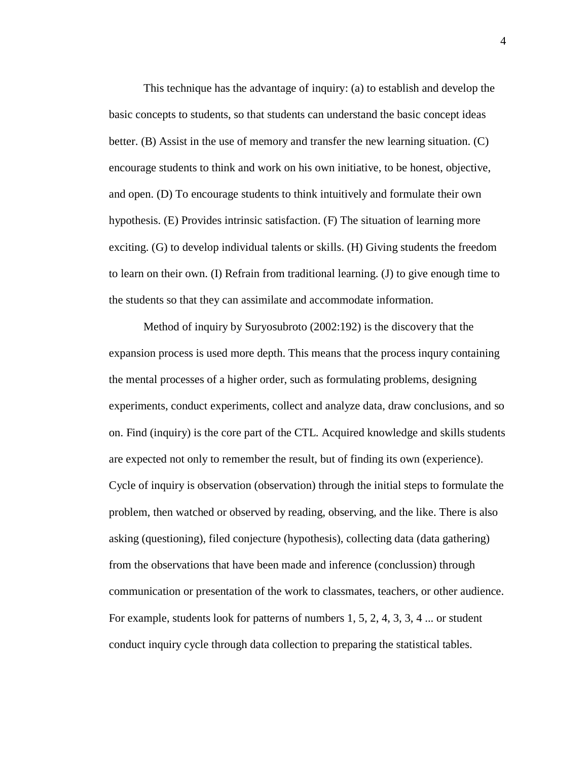This technique has the advantage of inquiry: (a) to establish and develop the basic concepts to students, so that students can understand the basic concept ideas better. (B) Assist in the use of memory and transfer the new learning situation. (C) encourage students to think and work on his own initiative, to be honest, objective, and open. (D) To encourage students to think intuitively and formulate their own hypothesis. (E) Provides intrinsic satisfaction. (F) The situation of learning more exciting. (G) to develop individual talents or skills. (H) Giving students the freedom to learn on their own. (I) Refrain from traditional learning. (J) to give enough time to the students so that they can assimilate and accommodate information.

Method of inquiry by Suryosubroto (2002:192) is the discovery that the expansion process is used more depth. This means that the process inqury containing the mental processes of a higher order, such as formulating problems, designing experiments, conduct experiments, collect and analyze data, draw conclusions, and so on. Find (inquiry) is the core part of the CTL. Acquired knowledge and skills students are expected not only to remember the result, but of finding its own (experience). Cycle of inquiry is observation (observation) through the initial steps to formulate the problem, then watched or observed by reading, observing, and the like. There is also asking (questioning), filed conjecture (hypothesis), collecting data (data gathering) from the observations that have been made and inference (conclussion) through communication or presentation of the work to classmates, teachers, or other audience. For example, students look for patterns of numbers 1, 5, 2, 4, 3, 3, 4 ... or student conduct inquiry cycle through data collection to preparing the statistical tables.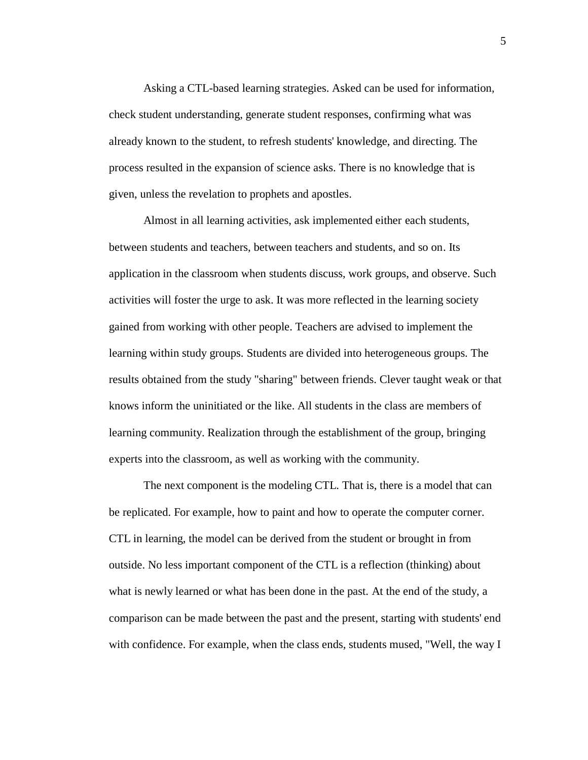Asking a CTL-based learning strategies. Asked can be used for information, check student understanding, generate student responses, confirming what was already known to the student, to refresh students' knowledge, and directing. The process resulted in the expansion of science asks. There is no knowledge that is given, unless the revelation to prophets and apostles.

Almost in all learning activities, ask implemented either each students, between students and teachers, between teachers and students, and so on. Its application in the classroom when students discuss, work groups, and observe. Such activities will foster the urge to ask. It was more reflected in the learning society gained from working with other people. Teachers are advised to implement the learning within study groups. Students are divided into heterogeneous groups. The results obtained from the study "sharing" between friends. Clever taught weak or that knows inform the uninitiated or the like. All students in the class are members of learning community. Realization through the establishment of the group, bringing experts into the classroom, as well as working with the community.

The next component is the modeling CTL. That is, there is a model that can be replicated. For example, how to paint and how to operate the computer corner. CTL in learning, the model can be derived from the student or brought in from outside. No less important component of the CTL is a reflection (thinking) about what is newly learned or what has been done in the past. At the end of the study, a comparison can be made between the past and the present, starting with students' end with confidence. For example, when the class ends, students mused, "Well, the way I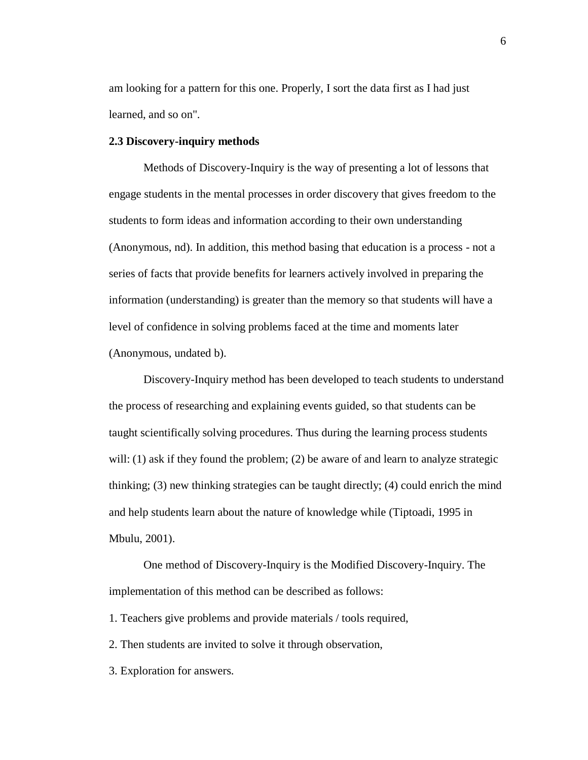am looking for a pattern for this one. Properly, I sort the data first as I had just learned, and so on".

### **2.3 Discovery-inquiry methods**

Methods of Discovery-Inquiry is the way of presenting a lot of lessons that engage students in the mental processes in order discovery that gives freedom to the students to form ideas and information according to their own understanding (Anonymous, nd). In addition, this method basing that education is a process - not a series of facts that provide benefits for learners actively involved in preparing the information (understanding) is greater than the memory so that students will have a level of confidence in solving problems faced at the time and moments later (Anonymous, undated b).

Discovery-Inquiry method has been developed to teach students to understand the process of researching and explaining events guided, so that students can be taught scientifically solving procedures. Thus during the learning process students will: (1) ask if they found the problem; (2) be aware of and learn to analyze strategic thinking; (3) new thinking strategies can be taught directly; (4) could enrich the mind and help students learn about the nature of knowledge while (Tiptoadi, 1995 in Mbulu, 2001).

One method of Discovery-Inquiry is the Modified Discovery-Inquiry. The implementation of this method can be described as follows:

1. Teachers give problems and provide materials / tools required,

2. Then students are invited to solve it through observation,

3. Exploration for answers.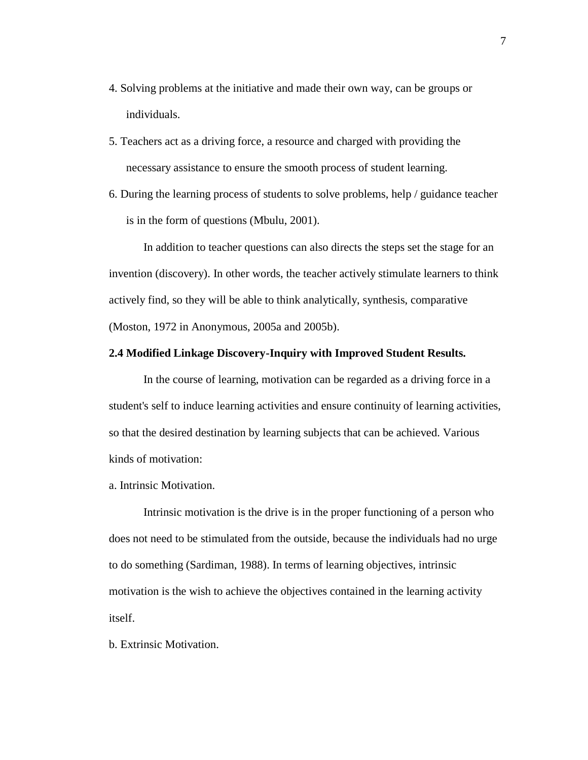- 4. Solving problems at the initiative and made their own way, can be groups or individuals.
- 5. Teachers act as a driving force, a resource and charged with providing the necessary assistance to ensure the smooth process of student learning.
- 6. During the learning process of students to solve problems, help / guidance teacher is in the form of questions (Mbulu, 2001).

In addition to teacher questions can also directs the steps set the stage for an invention (discovery). In other words, the teacher actively stimulate learners to think actively find, so they will be able to think analytically, synthesis, comparative (Moston, 1972 in Anonymous, 2005a and 2005b).

# **2.4 Modified Linkage Discovery-Inquiry with Improved Student Results.**

In the course of learning, motivation can be regarded as a driving force in a student's self to induce learning activities and ensure continuity of learning activities, so that the desired destination by learning subjects that can be achieved. Various kinds of motivation:

a. Intrinsic Motivation.

Intrinsic motivation is the drive is in the proper functioning of a person who does not need to be stimulated from the outside, because the individuals had no urge to do something (Sardiman, 1988). In terms of learning objectives, intrinsic motivation is the wish to achieve the objectives contained in the learning activity itself.

b. Extrinsic Motivation.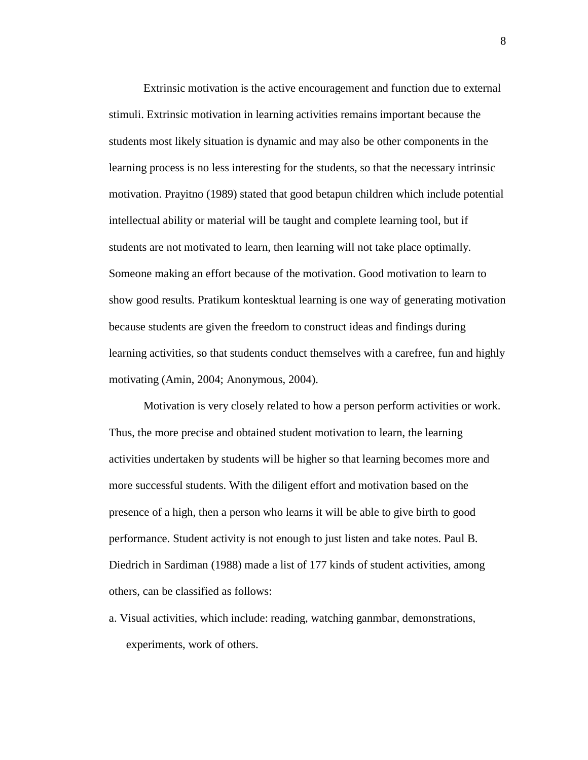Extrinsic motivation is the active encouragement and function due to external stimuli. Extrinsic motivation in learning activities remains important because the students most likely situation is dynamic and may also be other components in the learning process is no less interesting for the students, so that the necessary intrinsic motivation. Prayitno (1989) stated that good betapun children which include potential intellectual ability or material will be taught and complete learning tool, but if students are not motivated to learn, then learning will not take place optimally. Someone making an effort because of the motivation. Good motivation to learn to show good results. Pratikum kontesktual learning is one way of generating motivation because students are given the freedom to construct ideas and findings during learning activities, so that students conduct themselves with a carefree, fun and highly motivating (Amin, 2004; Anonymous, 2004).

Motivation is very closely related to how a person perform activities or work. Thus, the more precise and obtained student motivation to learn, the learning activities undertaken by students will be higher so that learning becomes more and more successful students. With the diligent effort and motivation based on the presence of a high, then a person who learns it will be able to give birth to good performance. Student activity is not enough to just listen and take notes. Paul B. Diedrich in Sardiman (1988) made a list of 177 kinds of student activities, among others, can be classified as follows:

a. Visual activities, which include: reading, watching ganmbar, demonstrations, experiments, work of others.